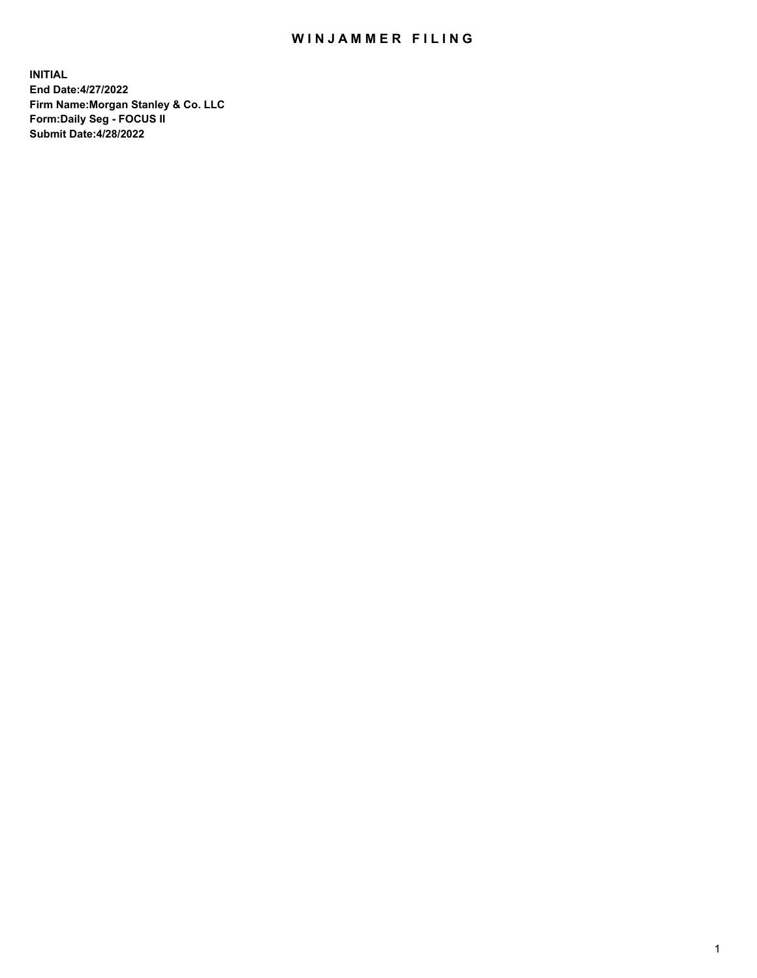## WIN JAMMER FILING

**INITIAL End Date:4/27/2022 Firm Name:Morgan Stanley & Co. LLC Form:Daily Seg - FOCUS II Submit Date:4/28/2022**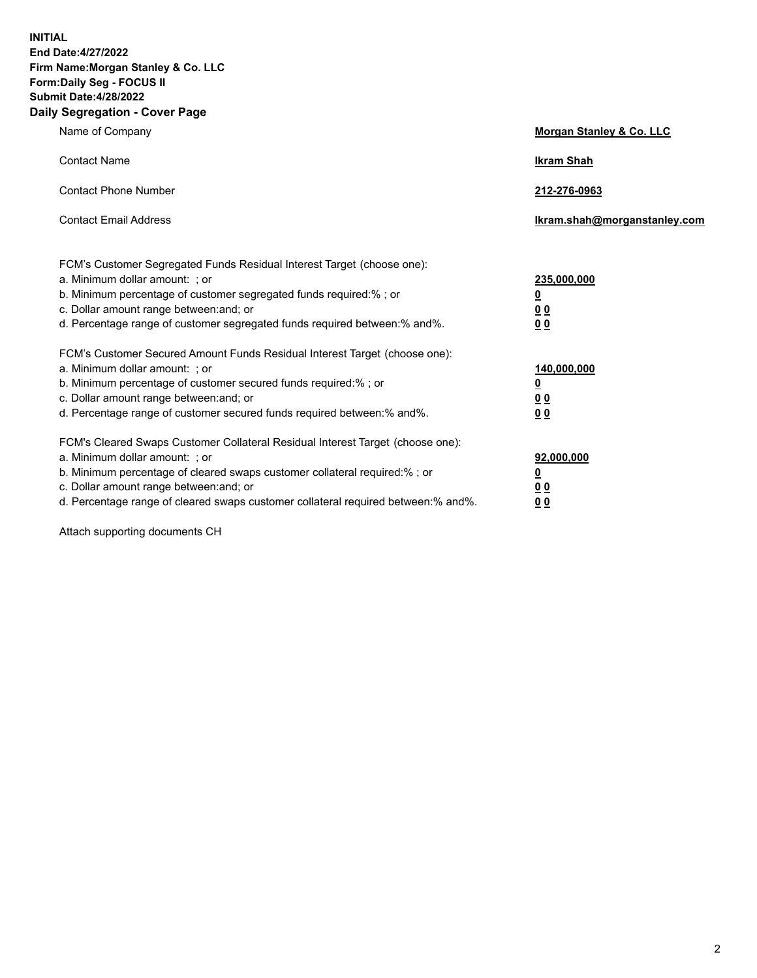**INITIAL End Date:4/27/2022 Firm Name:Morgan Stanley & Co. LLC Form:Daily Seg - FOCUS II Submit Date:4/28/2022 Daily Segregation - Cover Page**

| Name of Company                                                                                                                                                                                                                                                                                                                | Morgan Stanley & Co. LLC                                |
|--------------------------------------------------------------------------------------------------------------------------------------------------------------------------------------------------------------------------------------------------------------------------------------------------------------------------------|---------------------------------------------------------|
| <b>Contact Name</b>                                                                                                                                                                                                                                                                                                            | <b>Ikram Shah</b>                                       |
| <b>Contact Phone Number</b>                                                                                                                                                                                                                                                                                                    | 212-276-0963                                            |
| <b>Contact Email Address</b>                                                                                                                                                                                                                                                                                                   | Ikram.shah@morganstanley.com                            |
| FCM's Customer Segregated Funds Residual Interest Target (choose one):<br>a. Minimum dollar amount: ; or<br>b. Minimum percentage of customer segregated funds required:% ; or<br>c. Dollar amount range between: and; or<br>d. Percentage range of customer segregated funds required between:% and%.                         | 235,000,000<br><u>0</u><br><u>00</u><br><u>00</u>       |
| FCM's Customer Secured Amount Funds Residual Interest Target (choose one):<br>a. Minimum dollar amount: ; or<br>b. Minimum percentage of customer secured funds required:%; or<br>c. Dollar amount range between: and; or<br>d. Percentage range of customer secured funds required between:% and%.                            | 140,000,000<br><u>0</u><br><u>0 0</u><br>0 <sub>0</sub> |
| FCM's Cleared Swaps Customer Collateral Residual Interest Target (choose one):<br>a. Minimum dollar amount: ; or<br>b. Minimum percentage of cleared swaps customer collateral required:% ; or<br>c. Dollar amount range between: and; or<br>d. Percentage range of cleared swaps customer collateral required between:% and%. | 92,000,000<br><u>0</u><br><u>00</u><br>00               |

Attach supporting documents CH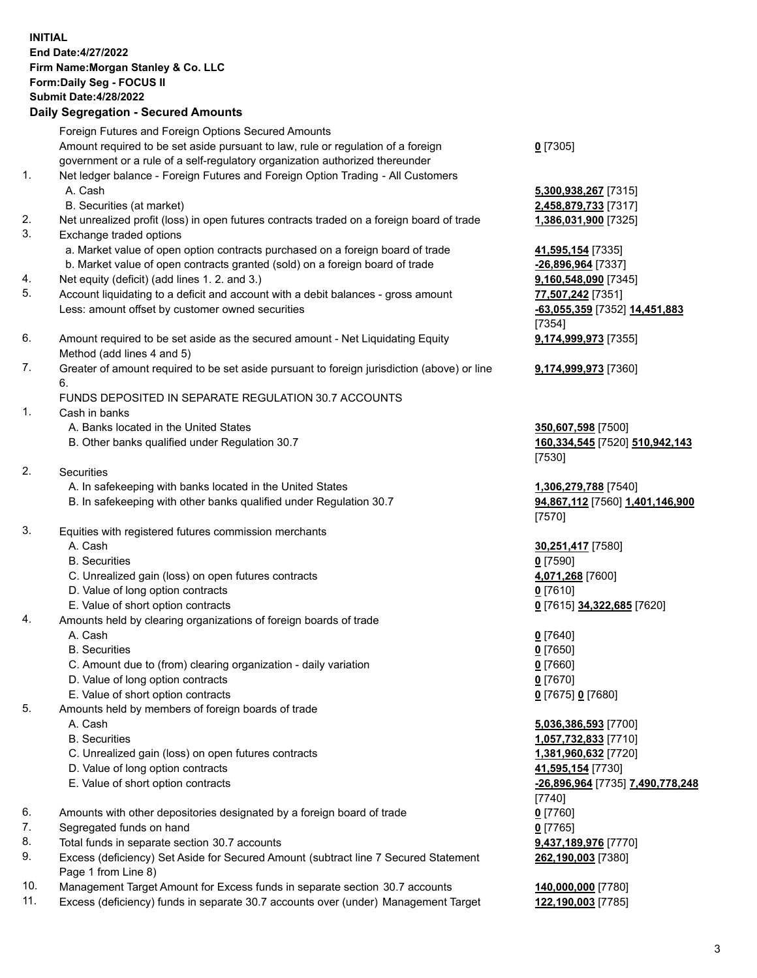## **INITIAL End Date:4/27/2022 Firm Name:Morgan Stanley & Co. LLC Form:Daily Seg - FOCUS II Submit Date:4/28/2022 Daily Segregation - Secured Amounts** Foreign Futures and Foreign Options Secured Amounts Amount required to be set aside pursuant to law, rule or regulation of a foreign government or a rule of a self-regulatory organization authorized thereunder **0** [7305] 1. Net ledger balance - Foreign Futures and Foreign Option Trading - All Customers A. Cash **5,300,938,267** [7315] B. Securities (at market) **2,458,879,733** [7317] 2. Net unrealized profit (loss) in open futures contracts traded on a foreign board of trade **1,386,031,900** [7325] 3. Exchange traded options a. Market value of open option contracts purchased on a foreign board of trade **41,595,154** [7335] b. Market value of open contracts granted (sold) on a foreign board of trade **-26,896,964** [7337] 4. Net equity (deficit) (add lines 1. 2. and 3.) **9,160,548,090** [7345] 5. Account liquidating to a deficit and account with a debit balances - gross amount **77,507,242** [7351] Less: amount offset by customer owned securities **-63,055,359** [7352] **14,451,883** [7354] 6. Amount required to be set aside as the secured amount - Net Liquidating Equity Method (add lines 4 and 5) **9,174,999,973** [7355] 7. Greater of amount required to be set aside pursuant to foreign jurisdiction (above) or line 6. **9,174,999,973** [7360] FUNDS DEPOSITED IN SEPARATE REGULATION 30.7 ACCOUNTS 1. Cash in banks A. Banks located in the United States **350,607,598** [7500] B. Other banks qualified under Regulation 30.7 **160,334,545** [7520] **510,942,143** [7530] 2. Securities A. In safekeeping with banks located in the United States **1,306,279,788** [7540] B. In safekeeping with other banks qualified under Regulation 30.7 **94,867,112** [7560] **1,401,146,900** [7570] 3. Equities with registered futures commission merchants A. Cash **30,251,417** [7580] B. Securities **0** [7590] C. Unrealized gain (loss) on open futures contracts **4,071,268** [7600] D. Value of long option contracts **0** [7610] E. Value of short option contracts **0** [7615] **34,322,685** [7620] 4. Amounts held by clearing organizations of foreign boards of trade A. Cash **0** [7640] B. Securities **0** [7650] C. Amount due to (from) clearing organization - daily variation **0** [7660] D. Value of long option contracts **0** [7670] E. Value of short option contracts **0** [7675] **0** [7680] 5. Amounts held by members of foreign boards of trade A. Cash **5,036,386,593** [7700] B. Securities **1,057,732,833** [7710] C. Unrealized gain (loss) on open futures contracts **1,381,960,632** [7720] D. Value of long option contracts **41,595,154** [7730] E. Value of short option contracts **-26,896,964** [7735] **7,490,778,248** [7740] 6. Amounts with other depositories designated by a foreign board of trade **0** [7760] 7. Segregated funds on hand **0** [7765] 8. Total funds in separate section 30.7 accounts **9,437,189,976** [7770]

- 9. Excess (deficiency) Set Aside for Secured Amount (subtract line 7 Secured Statement Page 1 from Line 8)
- 10. Management Target Amount for Excess funds in separate section 30.7 accounts **140,000,000** [7780]
- 11. Excess (deficiency) funds in separate 30.7 accounts over (under) Management Target **122,190,003** [7785]

**262,190,003** [7380]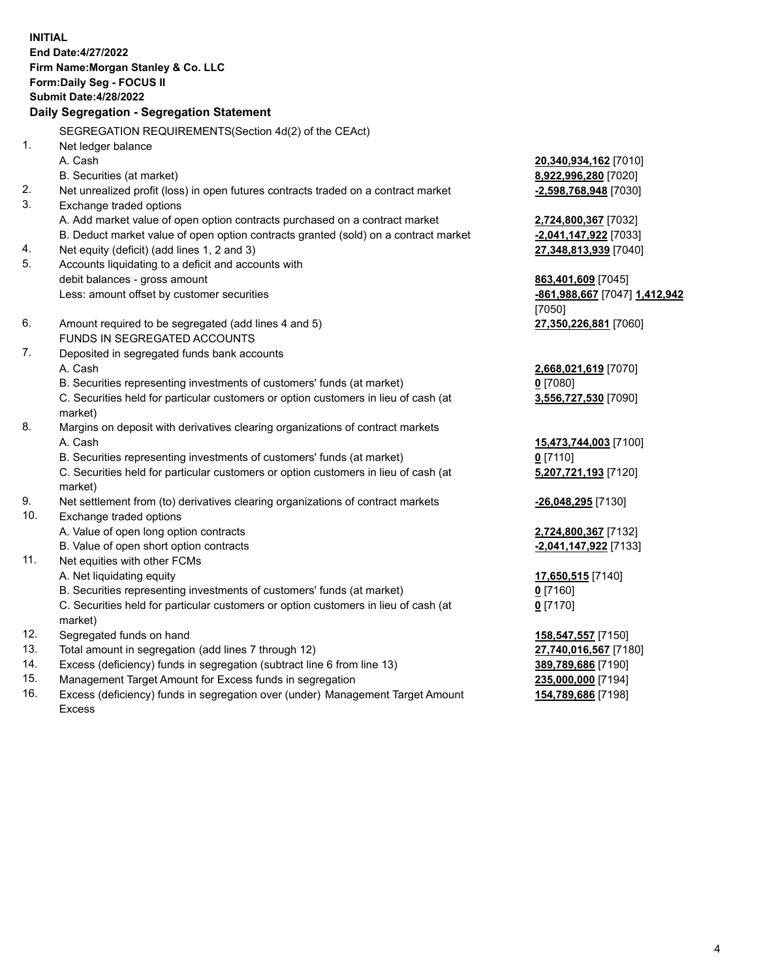**INITIAL End Date:4/27/2022 Firm Name:Morgan Stanley & Co. LLC Form:Daily Seg - FOCUS II Submit Date:4/28/2022 Daily Segregation - Segregation Statement** SEGREGATION REQUIREMENTS(Section 4d(2) of the CEAct) 1. Net ledger balance A. Cash **20,340,934,162** [7010] B. Securities (at market) **8,922,996,280** [7020] 2. Net unrealized profit (loss) in open futures contracts traded on a contract market **-2,598,768,948** [7030] 3. Exchange traded options A. Add market value of open option contracts purchased on a contract market **2,724,800,367** [7032] B. Deduct market value of open option contracts granted (sold) on a contract market **-2,041,147,922** [7033] 4. Net equity (deficit) (add lines 1, 2 and 3) **27,348,813,939** [7040] 5. Accounts liquidating to a deficit and accounts with debit balances - gross amount **863,401,609** [7045] Less: amount offset by customer securities **-861,988,667** [7047] **1,412,942** [7050] 6. Amount required to be segregated (add lines 4 and 5) **27,350,226,881** [7060] FUNDS IN SEGREGATED ACCOUNTS 7. Deposited in segregated funds bank accounts A. Cash **2,668,021,619** [7070] B. Securities representing investments of customers' funds (at market) **0** [7080] C. Securities held for particular customers or option customers in lieu of cash (at market) **3,556,727,530** [7090] 8. Margins on deposit with derivatives clearing organizations of contract markets A. Cash **15,473,744,003** [7100] B. Securities representing investments of customers' funds (at market) **0** [7110] C. Securities held for particular customers or option customers in lieu of cash (at market) **5,207,721,193** [7120] 9. Net settlement from (to) derivatives clearing organizations of contract markets **-26,048,295** [7130] 10. Exchange traded options A. Value of open long option contracts **2,724,800,367** [7132] B. Value of open short option contracts **-2,041,147,922** [7133] 11. Net equities with other FCMs A. Net liquidating equity **17,650,515** [7140] B. Securities representing investments of customers' funds (at market) **0** [7160] C. Securities held for particular customers or option customers in lieu of cash (at market) **0** [7170] 12. Segregated funds on hand **158,547,557** [7150] 13. Total amount in segregation (add lines 7 through 12) **27,740,016,567** [7180] 14. Excess (deficiency) funds in segregation (subtract line 6 from line 13) **389,789,686** [7190] 15. Management Target Amount for Excess funds in segregation **235,000,000** [7194]

16. Excess (deficiency) funds in segregation over (under) Management Target Amount Excess

**154,789,686** [7198]